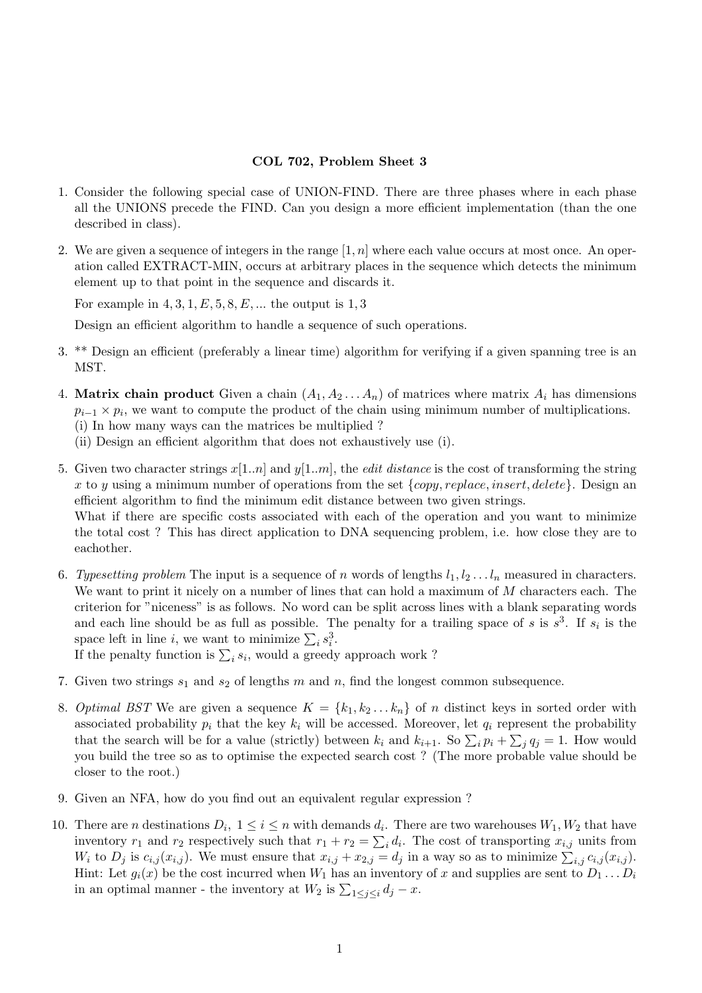## COL 702, Problem Sheet 3

- 1. Consider the following special case of UNION-FIND. There are three phases where in each phase all the UNIONS precede the FIND. Can you design a more efficient implementation (than the one described in class).
- 2. We are given a sequence of integers in the range  $[1, n]$  where each value occurs at most once. An operation called EXTRACT-MIN, occurs at arbitrary places in the sequence which detects the minimum element up to that point in the sequence and discards it.

For example in  $4, 3, 1, E, 5, 8, E, \dots$  the output is  $1, 3$ 

Design an efficient algorithm to handle a sequence of such operations.

- 3. \*\* Design an efficient (preferably a linear time) algorithm for verifying if a given spanning tree is an MST.
- 4. Matrix chain product Given a chain  $(A_1, A_2 \ldots A_n)$  of matrices where matrix  $A_i$  has dimensions  $p_{i-1} \times p_i$ , we want to compute the product of the chain using minimum number of multiplications. (i) In how many ways can the matrices be multiplied ?
	- (ii) Design an efficient algorithm that does not exhaustively use (i).
- 5. Given two character strings  $x[1..n]$  and  $y[1..m]$ , the *edit distance* is the cost of transforming the string x to y using a minimum number of operations from the set  $\{copy, replace, insert, delete\}$ . Design an efficient algorithm to find the minimum edit distance between two given strings. What if there are specific costs associated with each of the operation and you want to minimize the total cost ? This has direct application to DNA sequencing problem, i.e. how close they are to eachother.
- 6. Typesetting problem The input is a sequence of n words of lengths  $l_1, l_2, \ldots l_n$  measured in characters. We want to print it nicely on a number of lines that can hold a maximum of  $M$  characters each. The criterion for "niceness" is as follows. No word can be split across lines with a blank separating words and each line should be as full as possible. The penalty for a trailing space of s is  $s^3$ . If  $s_i$  is the space left in line *i*, we want to minimize  $\sum_i s_i^3$ .

If the penalty function is  $\sum_i s_i$ , would a greedy approach work?

- 7. Given two strings  $s_1$  and  $s_2$  of lengths m and n, find the longest common subsequence.
- 8. Optimal BST We are given a sequence  $K = \{k_1, k_2, \ldots, k_n\}$  of n distinct keys in sorted order with associated probability  $p_i$  that the key  $k_i$  will be accessed. Moreover, let  $q_i$  represent the probability that the search will be for a value (strictly) between  $k_i$  and  $k_{i+1}$ . So  $\sum_i p_i + \sum_j q_j = 1$ . How would you build the tree so as to optimise the expected search cost ? (The more probable value should be closer to the root.)
- 9. Given an NFA, how do you find out an equivalent regular expression ?
- 10. There are *n* destinations  $D_i$ ,  $1 \le i \le n$  with demands  $d_i$ . There are two warehouses  $W_1, W_2$  that have inventory  $r_1$  and  $r_2$  respectively such that  $r_1 + r_2 = \sum_i d_i$ . The cost of transporting  $x_{i,j}$  units from  $W_i$  to  $D_j$  is  $c_{i,j}(x_{i,j})$ . We must ensure that  $x_{i,j} + x_{2,j} = d_j$  in a way so as to minimize  $\sum_{i,j} c_{i,j}(x_{i,j})$ . Hint: Let  $g_i(x)$  be the cost incurred when  $W_1$  has an inventory of x and supplies are sent to  $D_1 \ldots D_i$ in an optimal manner - the inventory at  $W_2$  is  $\sum_{1 \leq j \leq i} d_j - x$ .